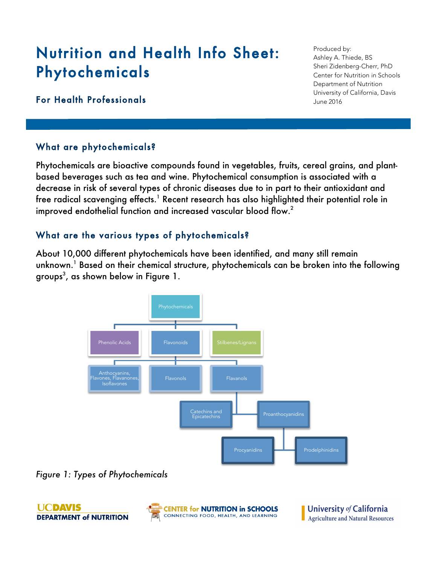# Nutrition and Health Info Sheet: Phytochemicals

## For Health Professionals

## What are phytochemicals?

Phytochemicals are bioactive compounds found in vegetables, fruits, cereal grains, and plantbased beverages such as tea and wine. Phytochemical consumption is associated with a decrease in risk of several types of chronic diseases due to in part to their antioxidant and free radical scavenging effects. $^{\rm I}$  Recent research has also highlighted their potential role in improved endothelial function and increased vascular blood flow. $^{\text{2}}$ 

## What are the various types of phytochemicals?

About 10,000 different phytochemicals have been identified, and many still remain unknown.<sup>1</sup> Based on their chemical structure, phytochemicals can be broken into the following groups $^3$ , as shown below in Figure 1.



*Figure 1: Types of Phytochemicals*

**UCDAVIS DEPARTMENT of NUTRITION** 



Produced by: Ashley A. Thiede, BS Sheri Zidenberg-Cherr, PhD Center for Nutrition in Schools Department of Nutrition University of California, Davis June 2016

University of California Agriculture and Natural Resources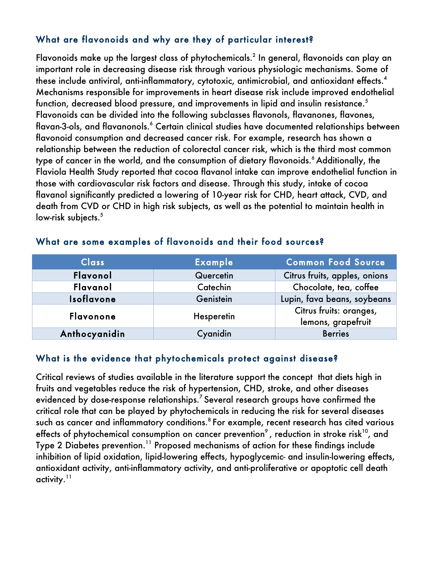## What are flavonoids and why are they of particular interest?

Flavonoids make up the largest class of phytochemicals. <sup>2</sup> In general, flavonoids can play an important role in decreasing disease risk through various physiologic mechanisms. Some of these include antiviral, anti-inflammatory, cytotoxic, antimicrobial, and antioxidant effects.<sup>4</sup> Mechanisms responsible for improvements in heart disease risk include improved endothelial function, decreased blood pressure, and improvements in lipid and insulin resistance.<sup>5</sup> Flavonoids can be divided into the following subclasses flavonols, flavanones, flavones, flavan-3-ols, and flavanonols.<sup>6</sup> Certain clinical studies have documented relationships between flavonoid consumption and decreased cancer risk. For example, research has shown a relationship between the reduction of colorectal cancer risk, which is the third most common type of cancer in the world, and the consumption of dietary flavonoids.<sup>6</sup> Additionally, the Flaviola Health Study reported that cocoa flavanol intake can improve endothelial function in those with cardiovascular risk factors and disease. Through this study, intake of cocoa flavanol significantly predicted a lowering of 10-year risk for CHD, heart attack, CVD, and death from CVD or CHD in high risk subjects, as well as the potential to maintain health in low-risk subjects.<sup>5</sup>

| <b>Class</b>     | <b>Example</b> | <b>Common Food Source</b>                     |
|------------------|----------------|-----------------------------------------------|
| Flavonol         | Quercetin      | Citrus fruits, apples, onions                 |
| Flavanol         | Catechin       | Chocolate, tea, coffee                        |
| Isoflavone       | Genistein      | Lupin, fava beans, soybeans                   |
| <b>Flavonone</b> | Hesperetin     | Citrus fruits: oranges,<br>lemons, grapefruit |
| Anthocyanidin    | Cyanidin       | <b>Berries</b>                                |

#### What are some examples of flavonoids and their food sources?

### What is the evidence that phytochemicals protect against disease?

Critical reviews of studies available in the literature support the concept that diets high in fruits and vegetables reduce the risk of hypertension, CHD, stroke, and other diseases evidenced by dose-response relationships. $^7$  Several research groups have confirmed the critical role that can be played by phytochemicals in reducing the risk for several diseases such as cancer and inflammatory conditions.<sup>8</sup> For example, recent research has cited various effects of phytochemical consumption on cancer prevention<sup>9</sup>, reduction in stroke risk<sup>10</sup>, and Type 2 Diabetes prevention. <sup>11</sup> Proposed mechanisms of action for these findings include inhibition of lipid oxidation, lipid-lowering effects, hypoglycemic- and insulin-lowering effects, antioxidant activity, anti-inflammatory activity, and anti-proliferative or apoptotic cell death activity. $11$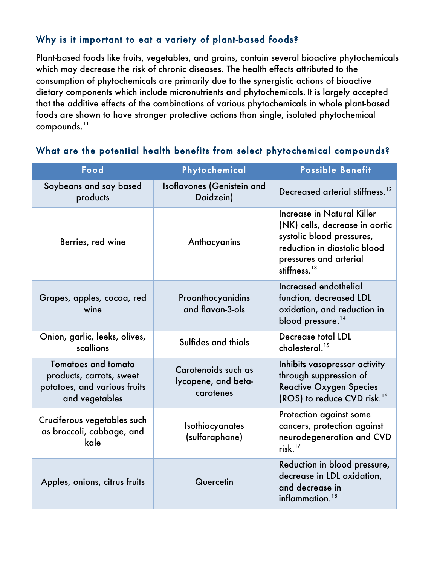## Why is it important to eat a variety of plant-based foods?

Plant-based foods like fruits, vegetables, and grains, contain several bioactive phytochemicals which may decrease the risk of chronic diseases. The health effects attributed to the consumption of phytochemicals are primarily due to the synergistic actions of bioactive dietary components which include micronutrients and phytochemicals. It is largely accepted that the additive effects of the combinations of various phytochemicals in whole plant-based foods are shown to have stronger protective actions than single, isolated phytochemical  $compounds.<sup>11</sup>$ 

| Food                                                                                              | Phytochemical                                           | <b>Possible Benefit</b>                                                                                                                                                |
|---------------------------------------------------------------------------------------------------|---------------------------------------------------------|------------------------------------------------------------------------------------------------------------------------------------------------------------------------|
| Soybeans and soy based<br>products                                                                | Isoflavones (Genistein and<br>Daidzein)                 | Decreased arterial stiffness. <sup>12</sup>                                                                                                                            |
| Berries, red wine                                                                                 | Anthocyanins                                            | Increase in Natural Killer<br>(NK) cells, decrease in aortic<br>systolic blood pressures,<br>reduction in diastolic blood<br>pressures and arterial<br>stiffness. $13$ |
| Grapes, apples, cocoa, red<br>wine                                                                | Proanthocyanidins<br>and flavan-3-ols                   | Increased endothelial<br>function, decreased LDL<br>oxidation, and reduction in<br>blood pressure. <sup>14</sup>                                                       |
| Onion, garlic, leeks, olives,<br>scallions                                                        | Sulfides and thiols                                     | <b>Decrease total LDL</b><br>cholesterol. <sup>15</sup>                                                                                                                |
| Tomatoes and tomato<br>products, carrots, sweet<br>potatoes, and various fruits<br>and vegetables | Carotenoids such as<br>lycopene, and beta-<br>carotenes | Inhibits vasopressor activity<br>through suppression of<br><b>Reactive Oxygen Species</b><br>(ROS) to reduce CVD risk. <sup>16</sup>                                   |
| Cruciferous vegetables such<br>as broccoli, cabbage, and<br>kale                                  | <b>Isothiocyanates</b><br>(sulforaphane)                | Protection against some<br>cancers, protection against<br>neurodegeneration and CVD<br>risk. $17$                                                                      |
| Apples, onions, citrus fruits                                                                     | Quercetin                                               | Reduction in blood pressure,<br>decrease in LDL oxidation,<br>and decrease in<br>inflammation. <sup>18</sup>                                                           |

### What are the potential health benefits from select phytochemical compounds?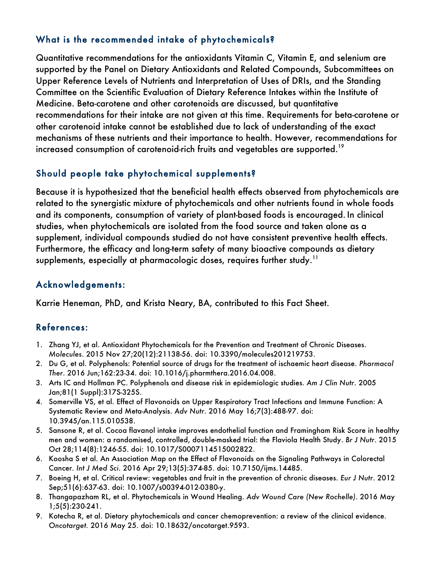## What is the recommended intake of phytochemicals?

Quantitative recommendations for the antioxidants Vitamin C, Vitamin E, and selenium are supported by the Panel on Dietary Antioxidants and Related Compounds, Subcommittees on Upper Reference Levels of Nutrients and Interpretation of Uses of DRIs, and the Standing Committee on the Scientific Evaluation of Dietary Reference Intakes within the Institute of Medicine. Beta-carotene and other carotenoids are discussed, but quantitative recommendations for their intake are not given at this time. Requirements for beta-carotene or other carotenoid intake cannot be established due to lack of understanding of the exact mechanisms of these nutrients and their importance to health. However, recommendations for increased consumption of carotenoid-rich fruits and vegetables are supported.<sup>19</sup>

# Should people take phytochemical supplements?

Because it is hypothesized that the beneficial health effects observed from phytochemicals are related to the synergistic mixture of phytochemicals and other nutrients found in whole foods and its components, consumption of variety of plant-based foods is encouraged. In clinical studies, when phytochemicals are isolated from the food source and taken alone as a supplement, individual compounds studied do not have consistent preventive health effects. Furthermore, the efficacy and long-term safety of many bioactive compounds as dietary supplements, especially at pharmacologic doses, requires further study.<sup>11</sup>

# Acknowledgements:

Karrie Heneman, PhD, and Krista Neary, BA, contributed to this Fact Sheet.

# References:

- 1. Zhang YJ, et al. Antioxidant Phytochemicals for the Prevention and Treatment of Chronic Diseases. *Molecules*. 2015 Nov 27;20(12):21138-56. doi: 10.3390/molecules201219753.
- 2. Du G, et al. Polyphenols: Potential source of drugs for the treatment of ischaemic heart disease. *Pharmacol Ther*. 2016 Jun;162:23-34. doi: 10.1016/j.pharmthera.2016.04.008.
- 3. Arts IC and Hollman PC. Polyphenols and disease risk in epidemiologic studies. *Am J Clin Nutr*. 2005 Jan;81(1 Suppl):317S-325S.
- 4. Somerville VS, et al. Effect of Flavonoids on Upper Respiratory Tract Infections and Immune Function: A Systematic Review and Meta-Analysis. *Adv Nutr*. 2016 May 16;7(3):488-97. doi: 10.3945/an.115.010538.
- 5. Sansone R, et al. Cocoa flavanol intake improves endothelial function and Framingham Risk Score in healthy men and women: a randomised, controlled, double-masked trial: the Flaviola Health Study. *Br J Nutr*. 2015 Oct 28;114(8):1246-55. doi: 10.1017/S0007114515002822.
- 6. Koosha S et al. An Association Map on the Effect of Flavonoids on the Signaling Pathways in Colorectal Cancer. *Int J Med Sci*. 2016 Apr 29;13(5):374-85. doi: 10.7150/ijms.14485.
- 7. Boeing H, et al. Critical review: vegetables and fruit in the prevention of chronic diseases. *Eur J Nutr*. 2012 Sep;51(6):637-63. doi: 10.1007/s00394-012-0380-y.
- 8. Thangapazham RL, et al. Phytochemicals in Wound Healing. *Adv Wound Care (New Rochelle)*. 2016 May 1;5(5):230-241.
- 9. Kotecha R, et al. Dietary phytochemicals and cancer chemoprevention: a review of the clinical evidence. *Oncotarget.* 2016 May 25. doi: 10.18632/oncotarget.9593.